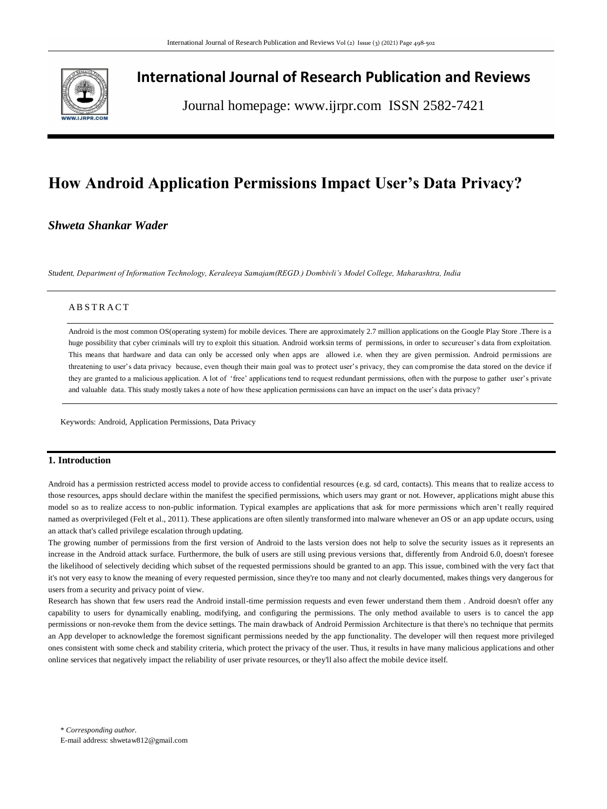

# **International Journal of Research Publication and Reviews**

Journal homepage: www.ijrpr.com ISSN 2582-7421

# **How Android Application Permissions Impact User's Data Privacy?**

# *Shweta Shankar Wader*

*Student, Department of Information Technology, Keraleeya Samajam(REGD.) Dombivli's Model College, Maharashtra, India*

# A B S T R A C T

Android is the most common OS(operating system) for mobile devices. There are approximately 2.7 million applications on the Google Play Store .There is a huge possibility that cyber criminals will try to exploit this situation. Android worksin terms of permissions, in order to secureuser's data from exploitation. This means that hardware and data can only be accessed only when apps are allowed i.e. when they are given permission. Android permissions are threatening to user's data privacy because, even though their main goal was to protect user's privacy, they can compromise the data stored on the device if they are granted to a malicious application. A lot of 'free' applications tend to request redundant permissions, often with the purpose to gather user's private and valuable data. This study mostly takes a note of how these application permissions can have an impact on the user's data privacy?

Keywords: Android, Application Permissions, Data Privacy

# **1. Introduction**

Android has a permission restricted access model to provide access to confidential resources (e.g. sd card, contacts). This means that to realize access to those resources, apps should declare within the manifest the specified permissions, which users may grant or not. However, applications might abuse this model so as to realize access to non-public information. Typical examples are applications that ask for more permissions which aren't really required named as overprivileged (Felt et al., 2011). These applications are often silently transformed into malware whenever an OS or an app update occurs, using an attack that's called privilege escalation through updating.

The growing number of permissions from the first version of Android to the lasts version does not help to solve the security issues as it represents an increase in the Android attack surface. Furthermore, the bulk of users are still using previous versions that, differently from Android 6.0, doesn't foresee the likelihood of selectively deciding which subset of the requested permissions should be granted to an app. This issue, combined with the very fact that it's not very easy to know the meaning of every requested permission, since they're too many and not clearly documented, makes things very dangerous for users from a security and privacy point of view.

Research has shown that few users read the Android install-time permission requests and even fewer understand them them . Android doesn't offer any capability to users for dynamically enabling, modifying, and configuring the permissions. The only method available to users is to cancel the app permissions or non-revoke them from the device settings. The main drawback of Android Permission Architecture is that there's no technique that permits an App developer to acknowledge the foremost significant permissions needed by the app functionality. The developer will then request more privileged ones consistent with some check and stability criteria, which protect the privacy of the user. Thus, it results in have many malicious applications and other online services that negatively impact the reliability of user private resources, or they'll also affect the mobile device itself.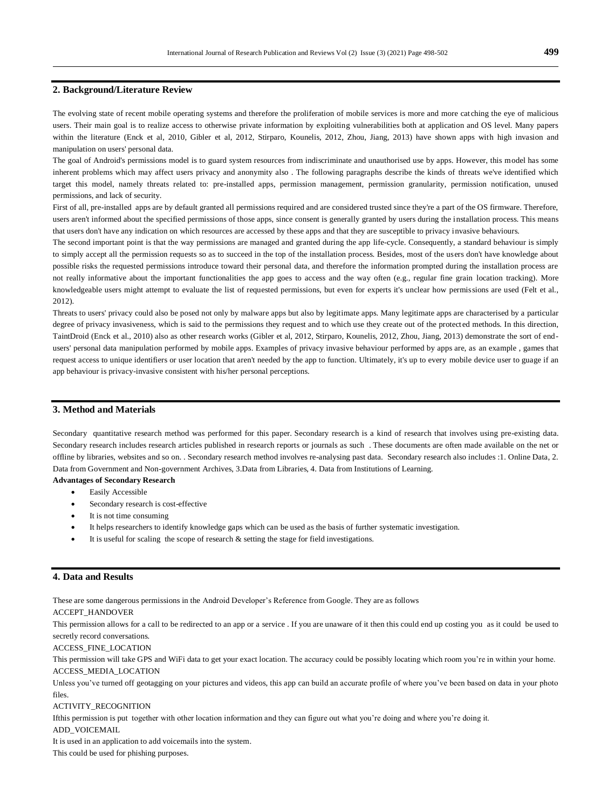# **2. Background/Literature Review**

The evolving state of recent mobile operating systems and therefore the proliferation of mobile services is more and more cat ching the eye of malicious users. Their main goal is to realize access to otherwise private information by exploiting vulnerabilities both at application and OS level. Many papers within the literature (Enck et al, 2010, Gibler et al, 2012, Stirparo, Kounelis, 2012, Zhou, Jiang, 2013) have shown apps with high invasion and manipulation on users' personal data.

The goal of Android's permissions model is to guard system resources from indiscriminate and unauthorised use by apps. However, this model has some inherent problems which may affect users privacy and anonymity also . The following paragraphs describe the kinds of threats we've identified which target this model, namely threats related to: pre-installed apps, permission management, permission granularity, permission notification, unused permissions, and lack of security.

First of all, pre-installed apps are by default granted all permissions required and are considered trusted since they're a part of the OS firmware. Therefore, users aren't informed about the specified permissions of those apps, since consent is generally granted by users during the installation process. This means that users don't have any indication on which resources are accessed by these apps and that they are susceptible to privacy invasive behaviours.

The second important point is that the way permissions are managed and granted during the app life-cycle. Consequently, a standard behaviour is simply to simply accept all the permission requests so as to succeed in the top of the installation process. Besides, most of the users don't have knowledge about possible risks the requested permissions introduce toward their personal data, and therefore the information prompted during the installation process are not really informative about the important functionalities the app goes to access and the way often (e.g., regular fine grain location tracking). More knowledgeable users might attempt to evaluate the list of requested permissions, but even for experts it's unclear how permissions are used (Felt et al., 2012).

Threats to users' privacy could also be posed not only by malware apps but also by legitimate apps. Many legitimate apps are characterised by a particular degree of privacy invasiveness, which is said to the permissions they request and to which use they create out of the protected methods. In this direction, TaintDroid (Enck et al., 2010) also as other research works (Gibler et al, 2012, Stirparo, Kounelis, 2012, Zhou, Jiang, 2013) demonstrate the sort of endusers' personal data manipulation performed by mobile apps. Examples of privacy invasive behaviour performed by apps are, as an example , games that request access to unique identifiers or user location that aren't needed by the app to function. Ultimately, it's up to every mobile device user to guage if an app behaviour is privacy-invasive consistent with his/her personal perceptions.

# **3. Method and Materials**

Secondary quantitative research method was performed for this paper. Secondary research is a kind of research that involves using pre-existing data. Secondary research includes research articles published in research reports or journals as such . These documents are often made available on the net or offline by libraries, websites and so on. . Secondary research method involves re-analysing past data. Secondary research also includes :1. Online Data, 2. Data from Government and Non-government Archives, 3.Data from Libraries, 4. Data from Institutions of Learning. **Advantages of Secondary Research**

- Easily Accessible
- Secondary research is cost-effective
- It is not time consuming
- It helps researchers to identify knowledge gaps which can be used as the basis of further systematic investigation.
- It is useful for scaling the scope of research & setting the stage for field investigations.

# **4. Data and Results**

These are some dangerous permissions in the Android Developer's Reference from Google. They are as follows

# ACCEPT\_HANDOVER

This permission allows for a call to be redirected to an app or a service . If you are unaware of it then this could end up costing you as it could be used to secretly record conversations.

#### ACCESS\_FINE\_LOCATION

This permission will take GPS and [WiFi](https://helpdeskgeek.com/help-desk/android-gps-not-working-heres-how-to-fix-it/) data to get your exact location. The accuracy could be possibly locating which room you're in within your home. ACCESS\_MEDIA\_LOCATION

Unless you've turned off geotagging on your pictures and videos, this app can [build an accurate profile of where you've been based on data in your photo](https://www.online-tech-tips.com/computer-tips/how-to-determine-where-a-picture-was-taken/)  [files.](https://www.online-tech-tips.com/computer-tips/how-to-determine-where-a-picture-was-taken/)

#### ACTIVITY\_RECOGNITION

Ifthis permission is put together with other location information and they can figure out what you're doing and where you're doing it.

ADD\_VOICEMAIL

It is used in an application to add voicemails into the system.

This could be used for phishing purposes.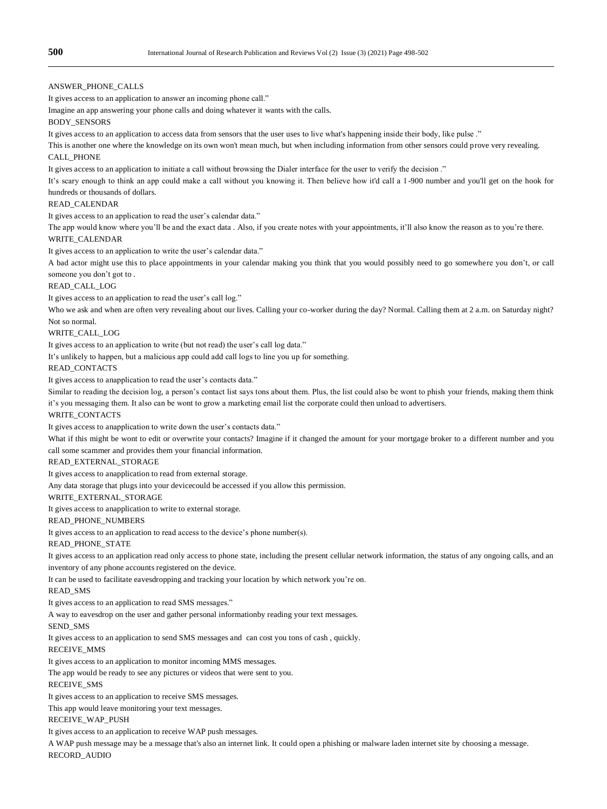# ANSWER\_PHONE\_CALLS

It gives access to an application to answer an incoming phone call."

Imagine an app answering your phone calls and doing whatever it wants with the calls.

# BODY\_SENSORS

It gives access to an application to access data from sensors that the user uses to live what's happening inside their body, like pulse ."

This is another one where the knowledge on its own won't mean much, but when including information from other sensors could prove very revealing. CALL\_PHONE

It gives access to an application to initiate a call without browsing the Dialer interface for the user to verify the decision ."

It's scary enough to think an app could make a call without you knowing it. Then believe how it'd call a 1-900 number and you'll get on the hook for hundreds or thousands of dollars.

#### READ\_CALENDAR

It gives access to an application to read the user's calendar data."

The app would know where you'll be and the exact data . Also, if you create notes with your appointments, it'll also know the reason as to you're there. WRITE\_CALENDAR

It gives access to an application to write the user's calendar data."

A bad actor might use this to place appointments in your calendar making you think that you would possibly need to go somewhere you don't, or call someone you don't got to .

#### READ\_CALL\_LOG

It gives access to an application to read the user's call log."

Who we ask and when are often very revealing about our lives. Calling your co-worker during the day? Normal. Calling them at 2 a.m. on Saturday night? Not so normal.

# WRITE\_CALL\_LOG

It gives access to an application to write (but not read) the user's call log data."

It's unlikely to happen, but a malicious app could add call logs to line you up for something.

#### READ\_CONTACTS

It gives access to anapplication to read the user's contacts data."

Similar to reading the decision log, a person's contact list says tons about them. Plus, the list could also be wont to phish your friends, making them think it's you messaging them. It also can be wont to grow a marketing email list the corporate could then unload to advertisers.

#### WRITE\_CONTACTS

It gives access to anapplication to write down the user's contacts data."

What if this might be wont to edit or overwrite your contacts? Imagine if it changed the amount for your mortgage broker to a different number and you call some scammer and provides them your financial information.

### READ\_EXTERNAL\_STORAGE

It gives access to anapplication to read from external storage.

Any data storage that plugs into your devicecould be accessed if you allow this permission.

# WRITE\_EXTERNAL\_STORAGE

It gives access to anapplication to write to external storage.

# READ\_PHONE\_NUMBERS

It gives access to an application to read access to the device's phone number(s).

#### READ\_PHONE\_STATE

It gives access to an application read only access to phone state, including the present cellular network information, the status of any ongoing calls, and an inventory of any phone accounts registered on the device.

It can be used to facilitate eavesdropping and tracking your location by which network you're on.

READ\_SMS

It gives access to an application to read SMS messages."

A way to eavesdrop on the user and gather personal informationby reading your text messages.

# SEND\_SMS

It gives access to an application to send SMS messages and can cost you tons of cash , quickly.

# RECEIVE\_MMS

It gives access to an application to monitor incoming MMS messages.

### The app would be ready to see any pictures or videos that were sent to you.

RECEIVE\_SMS

It gives access to an application to receive SMS messages.

This app would leave monitoring your text messages.

#### RECEIVE\_WAP\_PUSH

It gives access to an application to receive WAP push messages.

A WAP push message may be a message that's also an internet link. It could open a phishing or malware laden internet site by choosing a message. RECORD\_AUDIO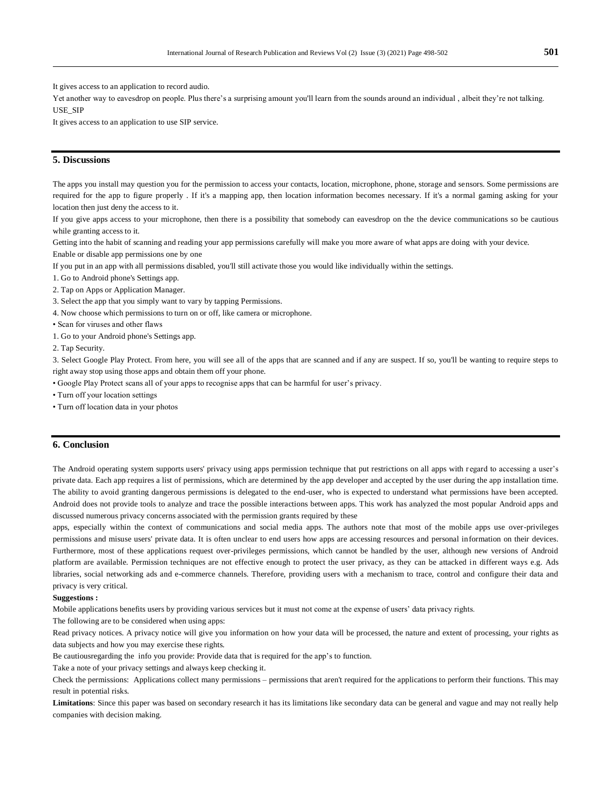It gives access to an application to record audio.

Yet another way to eavesdrop on people. Plus there's a surprising amount you'll learn from the sounds around an individual , albeit they're not talking. USE\_SIP

It gives access to an application to use SIP service.

# **5. Discussions**

The apps you install may question you for the permission to access your contacts, location, microphone, phone, storage and sensors. Some permissions are required for the app to figure properly . If it's a mapping app, then location information becomes necessary. If it's a normal gaming asking for your location then just deny the access to it.

If you give apps access to your microphone, then there is a possibility that somebody can eavesdrop on the the device communications so be cautious while granting access to it.

Getting into the habit of scanning and reading your app permissions carefully will make you more aware of what apps are doing with your device.

Enable or disable app permissions one by one

If you put in an app with all permissions disabled, you'll still activate those you would like individually within the settings.

1. Go to Android phone's Settings app.

2. Tap on Apps or Application Manager.

3. Select the app that you simply want to vary by tapping Permissions.

4. Now choose which permissions to turn on or off, like camera or microphone.

• Scan for viruses and other flaws

1. Go to your Android phone's Settings app.

2. Tap Security.

3. Select Google Play Protect. From here, you will see all of the apps that are scanned and if any are suspect. If so, you'll be wanting to require steps to right away stop using those apps and obtain them off your phone.

• Google Play Protect scans all of your apps to recognise apps that can be harmful for user's privacy.

• Turn off your location settings

• Turn off location data in your photos

# **6. Conclusion**

The Android operating system supports users' privacy using apps permission technique that put restrictions on all apps with regard to accessing a user's private data. Each app requires a list of permissions, which are determined by the app developer and accepted by the user during the app installation time. The ability to avoid granting dangerous permissions is delegated to the end-user, who is expected to understand what permissions have been accepted. Android does not provide tools to analyze and trace the possible interactions between apps. This work has analyzed the most popular Android apps and discussed numerous privacy concerns associated with the permission grants required by these

apps, especially within the context of communications and social media apps. The authors note that most of the mobile apps use over-privileges permissions and misuse users' private data. It is often unclear to end users how apps are accessing resources and personal information on their devices. Furthermore, most of these applications request over-privileges permissions, which cannot be handled by the user, although new versions of Android platform are available. Permission techniques are not effective enough to protect the user privacy, as they can be attacked in different ways e.g. Ads libraries, social networking ads and e-commerce channels. Therefore, providing users with a mechanism to trace, control and configure their data and privacy is very critical.

### **Suggestions :**

Mobile applications benefits users by providing various services but it must not come at the expense of users' data privacy rights.

The following are to be considered when using apps:

Read privacy notices. A privacy notice will give you information on how your data will be processed, the nature and extent of processing, your rights as data subjects and how you may exercise these rights.

Be cautiousregarding the info you provide: Provide data that is required for the app's to function.

Take a note of your privacy settings and always keep checking it.

Check the permissions: Applications collect many permissions – permissions that aren't required for the applications to perform their functions. This may result in potential risks.

Limitations: Since this paper was based on secondary research it has its limitations like secondary data can be general and vague and may not really help companies with decision making.